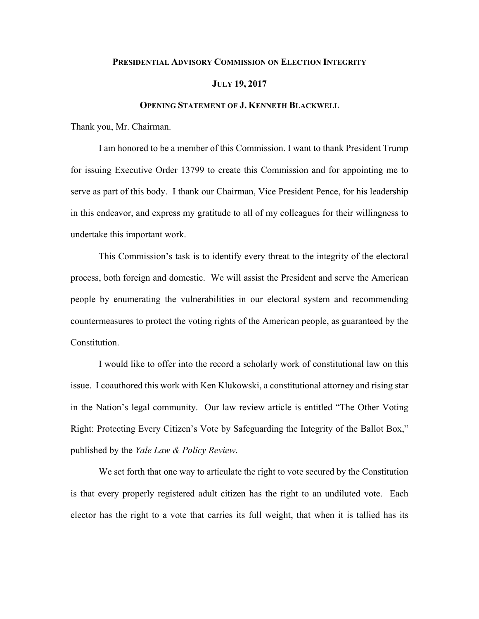## **PRESIDENTIAL ADVISORY COMMISSION ON ELECTION INTEGRITY**

## **JULY 19, 2017**

## **OPENING STATEMENT OF J. KENNETH BLACKWELL**

Thank you, Mr. Chairman.

I am honored to be a member of this Commission. I want to thank President Trump for issuing Executive Order 13799 to create this Commission and for appointing me to serve as part of this body. I thank our Chairman, Vice President Pence, for his leadership in this endeavor, and express my gratitude to all of my colleagues for their willingness to undertake this important work.

This Commission's task is to identify every threat to the integrity of the electoral process, both foreign and domestic. We will assist the President and serve the American people by enumerating the vulnerabilities in our electoral system and recommending countermeasures to protect the voting rights of the American people, as guaranteed by the Constitution.

I would like to offer into the record a scholarly work of constitutional law on this issue. I coauthored this work with Ken Klukowski, a constitutional attorney and rising star in the Nation's legal community. Our law review article is entitled "The Other Voting Right: Protecting Every Citizen's Vote by Safeguarding the Integrity of the Ballot Box," published by the *Yale Law & Policy Review*.

We set forth that one way to articulate the right to vote secured by the Constitution is that every properly registered adult citizen has the right to an undiluted vote. Each elector has the right to a vote that carries its full weight, that when it is tallied has its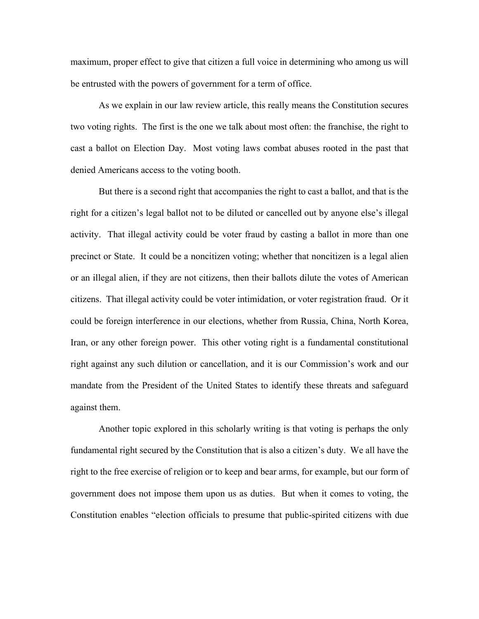maximum, proper effect to give that citizen a full voice in determining who among us will be entrusted with the powers of government for a term of office.

As we explain in our law review article, this really means the Constitution secures two voting rights. The first is the one we talk about most often: the franchise, the right to cast a ballot on Election Day. Most voting laws combat abuses rooted in the past that denied Americans access to the voting booth.

But there is a second right that accompanies the right to cast a ballot, and that is the right for a citizen's legal ballot not to be diluted or cancelled out by anyone else's illegal activity. That illegal activity could be voter fraud by casting a ballot in more than one precinct or State. It could be a noncitizen voting; whether that noncitizen is a legal alien or an illegal alien, if they are not citizens, then their ballots dilute the votes of American citizens. That illegal activity could be voter intimidation, or voter registration fraud. Or it could be foreign interference in our elections, whether from Russia, China, North Korea, Iran, or any other foreign power. This other voting right is a fundamental constitutional right against any such dilution or cancellation, and it is our Commission's work and our mandate from the President of the United States to identify these threats and safeguard against them.

Another topic explored in this scholarly writing is that voting is perhaps the only fundamental right secured by the Constitution that is also a citizen's duty. We all have the right to the free exercise of religion or to keep and bear arms, for example, but our form of government does not impose them upon us as duties. But when it comes to voting, the Constitution enables "election officials to presume that public-spirited citizens with due